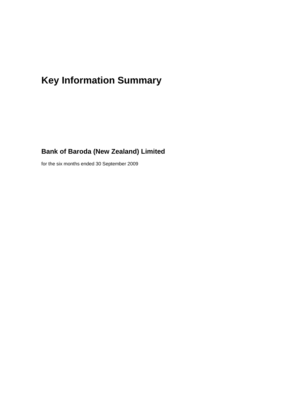# **Key Information Summary**

### **Bank of Baroda (New Zealand) Limited**

for the six months ended 30 September 2009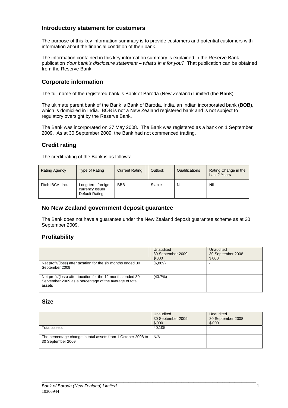#### **Introductory statement for customers**

The purpose of this key information summary is to provide customers and potential customers with information about the financial condition of their bank.

The information contained in this key information summary is explained in the Reserve Bank publication *Your bank's disclosure statement – what's in it for you?* That publication can be obtained from the Reserve Bank.

#### **Corporate information**

The full name of the registered bank is Bank of Baroda (New Zealand) Limited (the **Bank**).

The ultimate parent bank of the Bank is Bank of Baroda, India, an Indian incorporated bank (**BOB**), which is domiciled in India. BOB is not a New Zealand registered bank and is not subject to regulatory oversight by the Reserve Bank.

The Bank was incorporated on 27 May 2008. The Bank was registered as a bank on 1 September 2009. As at 30 September 2009, the Bank had not commenced trading.

#### **Credit rating**

The credit rating of the Bank is as follows:

| <b>Rating Agency</b> | Type of Rating                                         | <b>Current Rating</b> | Outlook | Qualifications | Rating Change in the<br>Last 2 Years |
|----------------------|--------------------------------------------------------|-----------------------|---------|----------------|--------------------------------------|
| Fitch IBCA, Inc.     | Long-term foreign<br>currency Issuer<br>Default Rating | BBB-                  | Stable  | Nil            | Nil                                  |

#### **No New Zealand government deposit guarantee**

The Bank does not have a guarantee under the New Zealand deposit guarantee scheme as at 30 September 2009.

#### **Profitability**

|                                                                                                                                 | Unaudited<br>30 September 2009<br>\$'000 | Unaudited<br>30 September 2008<br>\$'000 |
|---------------------------------------------------------------------------------------------------------------------------------|------------------------------------------|------------------------------------------|
| Net profit/(loss) after taxation for the six months ended 30<br>September 2009                                                  | (6,889)                                  |                                          |
| Net profit/(loss) after taxation for the 12 months ended 30<br>September 2009 as a percentage of the average of total<br>assets | (43.7%)                                  |                                          |

#### **Size**

|                                                                                   | Unaudited<br>30 September 2009<br>\$'000 | Unaudited<br>30 September 2008<br>\$'000 |
|-----------------------------------------------------------------------------------|------------------------------------------|------------------------------------------|
| Total assets                                                                      | 40.105                                   |                                          |
| The percentage change in total assets from 1 October 2008 to<br>30 September 2009 | N/A                                      |                                          |

\_\_\_\_\_\_\_\_\_\_\_\_\_\_\_\_\_\_\_\_\_\_\_\_\_\_\_\_\_\_\_\_\_\_\_\_\_\_\_\_\_\_\_\_\_\_\_\_\_\_\_\_\_\_\_\_\_\_\_\_\_\_\_\_\_\_\_\_\_\_\_\_\_\_\_\_\_\_\_\_\_\_\_\_\_\_\_\_\_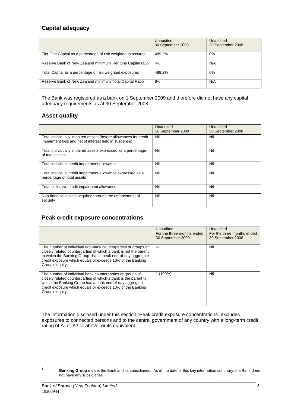#### **Capital adequacy**

|                                                             | <b>Unaudited</b><br>30 September 2009 | <b>Unaudited</b><br>30 September 2008 |
|-------------------------------------------------------------|---------------------------------------|---------------------------------------|
| Tier One Capital as a percentage of risk weighted exposures | 489.2%                                | 0%                                    |
| Reserve Bank of New Zealand minimum Tier One Capital ratio  | 4%                                    | N/A                                   |
| Total Capital as a percentage of risk weighted exposures    | 489.2%                                | 0%                                    |
| Reserve Bank of New Zealand minimum Total Capital Ratio     | 8%                                    | N/A                                   |

The Bank was registered as a bank on 1 September 2009 and therefore did not have any capital adequacy requirements as at 30 September 2008.

#### **Asset quality**

|                                                                                                                           | Unaudited<br>30 September 2009 | Unaudited<br>30 September 2008 |
|---------------------------------------------------------------------------------------------------------------------------|--------------------------------|--------------------------------|
| Total individually impaired assets (before allowances for credit<br>impairment loss and net of interest held in suspense) | Nil                            | Nil                            |
| Total individually impaired assets expressed as a percentage<br>of total assets                                           | Nil                            | Nil                            |
| Total individual credit impairment allowance                                                                              | Nil                            | Nil                            |
| Total individual credit impairment allowance expressed as a<br>percentage of total assets                                 | Nil                            | Nil                            |
| Total collective credit impairment allowance                                                                              | Nil                            | Nil                            |
| Non-financial assets acquired through the enforcement of<br>security                                                      | Nil                            | Nil                            |

#### **Peak credit exposure concentrations**

|                                                                                                                                                                                                                                                                                               | Unaudited<br>For the three months ended<br>30 September 2009 | Unaudited<br>For the three months ended<br>30 September 2008 |
|-----------------------------------------------------------------------------------------------------------------------------------------------------------------------------------------------------------------------------------------------------------------------------------------------|--------------------------------------------------------------|--------------------------------------------------------------|
| The number of individual non-bank counterparties or groups of<br>closely related counterparties of which a bank is not the parent<br>to which the Banking Group <sup>1</sup> has a peak end-of-day aggregate<br>credit exposure which equals or exceeds 10% of the Banking<br>Group's equity. | Nil                                                          | Nil                                                          |
| The number of individual bank counterparties or groups of<br>closely related counterparties of which a bank is the parent to<br>which the Banking Group has a peak end-of-day aggregate<br>credit exposure which equals or exceeds 10% of the Banking<br>Group's equity.                      | $1(100\%)$                                                   | Nil                                                          |

The information disclosed under this section "Peak credit exposure concentrations" excludes exposures to connected persons and to the central government of any country with a long-term credit rating of A- or A3 or above, or its equivalent.

l

<span id="page-2-0"></span>1

\_\_\_\_\_\_\_\_\_\_\_\_\_\_\_\_\_\_\_\_\_\_\_\_\_\_\_\_\_\_\_\_\_\_\_\_\_\_\_\_\_\_\_\_\_\_\_\_\_\_\_\_\_\_\_\_\_\_\_\_\_\_\_\_\_\_\_\_\_\_\_\_\_\_\_\_\_\_\_\_\_\_\_\_\_\_\_\_\_ **Banking Group** means the Bank and its subsidiaries. As at the date of this key information summary, the Bank does not have any subsidiaries.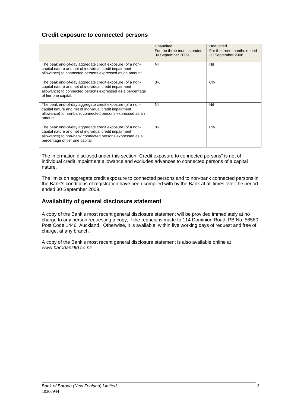#### **Credit exposure to connected persons**

|                                                                                                                                                                                                                  | Unaudited<br>For the three months ended<br>30 September 2009 | Unaudited<br>For the three months ended<br>30 September 2008 |
|------------------------------------------------------------------------------------------------------------------------------------------------------------------------------------------------------------------|--------------------------------------------------------------|--------------------------------------------------------------|
| The peak end-of-day aggregate credit exposure (of a non-<br>capital nature and net of individual credit impairment<br>allowance) to connected persons expressed as an amount.                                    | Nil                                                          | Nil                                                          |
| The peak end-of-day aggregate credit exposure (of a non-<br>capital nature and net of individual credit impairment<br>allowance) to connected persons expressed as a percentage<br>of tier one capital.          | $0\%$                                                        | 0%                                                           |
| The peak end-of-day aggregate credit exposure (of a non-<br>capital nature and net of individual credit impairment<br>allowance) to non-bank connected persons expressed as an<br>amount.                        | Nil                                                          | Nil                                                          |
| The peak end-of-day aggregate credit exposure (of a non-<br>capital nature and net of individual credit impairment<br>allowance) to non-bank connected persons expressed as a<br>percentage of tier one capital. | $0\%$                                                        | 0%                                                           |

The information disclosed under this section "Credit exposure to connected persons" is net of individual credit impairment allowance and excludes advances to connected persons of a capital nature.

The limits on aggregate credit exposure to connected persons and to non-bank connected persons in the Bank's conditions of registration have been complied with by the Bank at all times over the period ended 30 September 2009.

#### **Availability of general disclosure statement**

A copy of the Bank's most recent general disclosure statement will be provided immediately at no charge to any person requesting a copy, if the request is made to 114 Dominion Road, PB No. 56580, Post Code 1446, Auckland.Otherwise, it is available, within five working days of request and free of charge, at any branch.

\_\_\_\_\_\_\_\_\_\_\_\_\_\_\_\_\_\_\_\_\_\_\_\_\_\_\_\_\_\_\_\_\_\_\_\_\_\_\_\_\_\_\_\_\_\_\_\_\_\_\_\_\_\_\_\_\_\_\_\_\_\_\_\_\_\_\_\_\_\_\_\_\_\_\_\_\_\_\_\_\_\_\_\_\_\_\_\_\_

A copy of the Bank's most recent general disclosure statement is also available online at *www.barodanzltd.co.nz*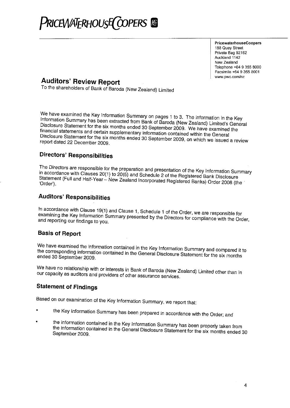

PricewaterhouseCoopers 188 Quay Street Private Bag 92162 Auckland 1142 New Zealand Telephone +64 9 355 8000 Facsimile +64 9 355 8001 www.pwc.com/nz

## **Auditors' Review Report**

To the shareholders of Bank of Baroda (New Zealand) Limited

We have examined the Key Information Summary on pages 1 to 3. The information in the Key Information Summary has been extracted from Bank of Baroda (New Zealand) Limited's General Disclosure Statement for the six months ended 30 September 2009. We have examined the financial statements and certain supplementary information contained within the General Disclosure Statement for the six months ended 30 September 2009, on which we issued a review report dated 22 December 2009.

#### **Directors' Responsibilities**

The Directors are responsible for the preparation and presentation of the Key Information Summary in accordance with Clauses 20(1) to 20(5) and Schedule 2 of the Registered Bank Disclosure Statement (Full and Half-Year - New Zealand Incorporated Registered Banks) Order 2008 (the 'Order').

#### **Auditors' Responsibilities**

In accordance with Clause 19(1) and Clause 1, Schedule 1 of the Order, we are responsible for examining the Key Information Summary presented by the Directors for compliance with the Order, and reporting our findings to you.

#### **Basis of Report**

We have examined the information contained in the Key Information Summary and compared it to the corresponding information contained in the General Disclosure Statement for the six months ended 30 September 2009.

We have no relationship with or interests in Bank of Baroda (New Zealand) Limited other than in our capacity as auditors and providers of other assurance services.

#### **Statement of Findings**

Based on our examination of the Key Information Summary, we report that:

- the Key Information Summary has been prepared in accordance with the Order; and
- the information contained in the Key Information Summary has been properly taken from the information contained in the General Disclosure Statement for the six months ended 30 September 2009.